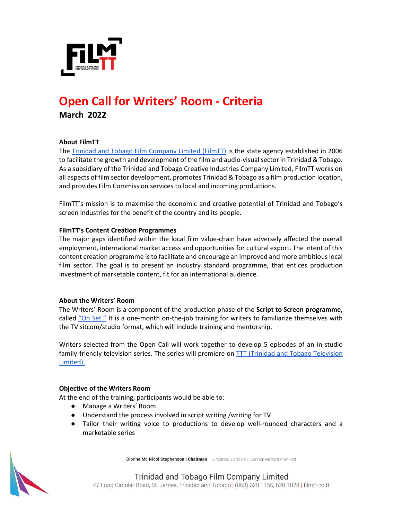

# **Open Call for Writers' Room - Criteria March 2022**

## **About FilmTT**

The [Trinidad and Tobago Film Company Limited \(FilmTT\)](https://filmtt.co.tt/) is the state agency established in 2006 to facilitate the growth and development of the film and audio-visual sector in Trinidad & Tobago. As a subsidiary of the Trinidad and Tobago Creative Industries Company Limited, FilmTT works on all aspects of film sector development, promotes Trinidad & Tobago as a film production location, and provides Film Commission services to local and incoming productions.

FilmTT's mission is to maximise the economic and creative potential of Trinidad and Tobago's screen industries for the benefit of the country and its people.

## **FilmTT's Content Creation Programmes**

The major gaps identified within the local film value-chain have adversely affected the overall employment, international market access and opportunities for cultural export. The intent of this content creation programme is to facilitate and encourage an improved and more ambitious local film sector. The goal is to present an industry standard programme, that entices production investment of marketable content, fit for an international audience.

## **About the Writers' Room**

The Writers' Room is a component of the production phase of the **Script to Screen programme,**  called ["On Set."](http://filmtt.co.tt/onset) It is a one-month on-the-job training for writers to familiarize themselves with the TV sitcom/studio format, which will include training and mentorship.

Writers selected from the Open Call will work together to develop 5 episodes of an in-studio family-friendly television series. The series will premiere on **TTT** (Trinidad and Tobago Television [Limited\).](https://www.ttt.live/)

## **Objective of the Writers Room**

At the end of the training, participants would be able to:

- Manage a Writers' Room
- Understand the process involved in script writing /writing for TV
- Tailor their writing voice to productions to develop well-rounded characters and a marketable series

Dionne Mc Nicol Stephenson | Chairman Directors: Lorraine O'Connor, Richard Chin Fatt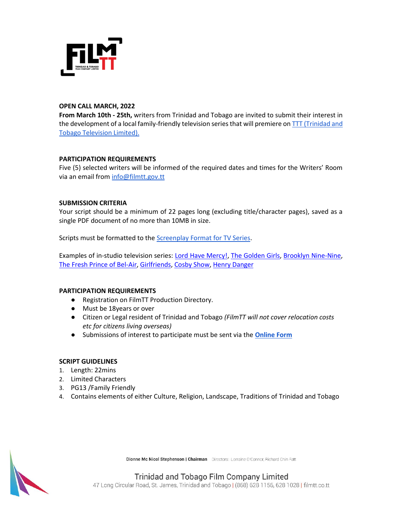

# **OPEN CALL MARCH, 2022**

**From March 10th - 25th,** writers from Trinidad and Tobago are invited to submit their interest in the development of a local family-friendly television series that will premiere on [TTT \(Trinidad and](https://www.ttt.live/)  [Tobago Television Limited\).](https://www.ttt.live/)

## **PARTICIPATION REQUIREMENTS**

Five (5) selected writers will be informed of the required dates and times for the Writers' Room via an email from [info@filmtt.gov.tt](mailto:info@filmtt.gov.tt)

## **SUBMISSION CRITERIA**

Your script should be a minimum of 22 pages long (excluding title/character pages), saved as a single PDF document of no more than 10MB in size.

Scripts must be formatted to th[e Screenplay Format for TV Series.](https://downloads.bbc.co.uk/writersroom/scripts/screenplaytv.pdf)

Examples of in-studio television series: [Lord Have Mercy!,](https://youtu.be/cpGupLa_bzs) [The Golden Girls,](https://www.imdb.com/title/tt0088526/?ref_=ext_shr_lnk) [Brooklyn Nine-Nine,](https://www.imdb.com/title/tt2467372/?ref_=ext_shr_lnk) [The Fresh Prince of Bel-Air,](https://www.imdb.com/title/tt0098800/?ref_=ext_shr_lnk) [Girlfriends,](https://www.imdb.com/title/tt0247102/) [Cosby Show,](https://www.imdb.com/title/tt0086687/?ref_=ext_shr_lnk) [Henry Danger](https://www.imdb.com/title/tt3596174/)

## **PARTICIPATION REQUIREMENTS**

- Registration on FilmTT Production Directory.
- Must be 18years or over
- Citizen or Legal resident of Trinidad and Tobago *(FilmTT will not cover relocation costs etc for citizens living overseas)*
- Submissions of interest to participate must be sent via the **[Online Form](https://forms.gle/BjF2B58fS7xUWfMq9)**

## **SCRIPT GUIDELINES**

- 1. Length: 22mins
- 2. Limited Characters
- 3. PG13 /Family Friendly
- 4. Contains elements of either Culture, Religion, Landscape, Traditions of Trinidad and Tobago



Dionne Mc Nicol Stephenson | Chairman Directors: Lorraine O'Connor, Richard Chin Fatt